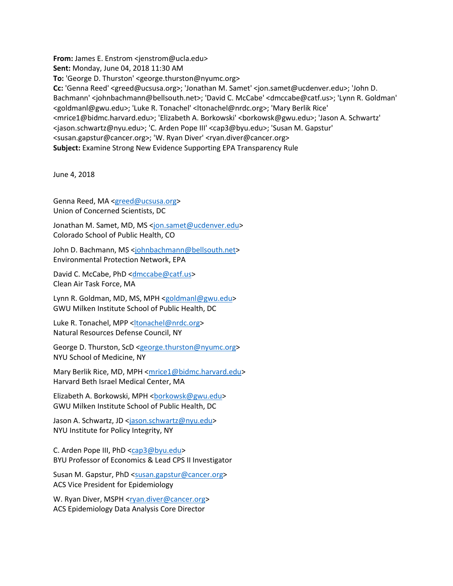**From:** James E. Enstrom <jenstrom@ucla.edu> **Sent:** Monday, June 04, 2018 11:30 AM **To:** 'George D. Thurston' <george.thurston@nyumc.org> **Cc:** 'Genna Reed' <greed@ucsusa.org>; 'Jonathan M. Samet' <jon.samet@ucdenver.edu>; 'John D. Bachmann' <johnbachmann@bellsouth.net>; 'David C. McCabe' <dmccabe@catf.us>; 'Lynn R. Goldman' <goldmanl@gwu.edu>; 'Luke R. Tonachel' <ltonachel@nrdc.org>; 'Mary Berlik Rice' <mrice1@bidmc.harvard.edu>; 'Elizabeth A. Borkowski' <borkowsk@gwu.edu>; 'Jason A. Schwartz' <jason.schwartz@nyu.edu>; 'C. Arden Pope III' <cap3@byu.edu>; 'Susan M. Gapstur' <susan.gapstur@cancer.org>; 'W. Ryan Diver' <ryan.diver@cancer.org> **Subject:** Examine Strong New Evidence Supporting EPA Transparency Rule

June 4, 2018

Genna Reed, MA [<greed@ucsusa.org>](mailto:greed@ucsusa.org) Union of Concerned Scientists, DC

Jonathan M. Samet, MD, MS [<jon.samet@ucdenver.edu>](mailto:jon.samet@ucdenver.edu) Colorado School of Public Health, CO

John D. Bachmann, MS [<johnbachmann@bellsouth.net>](mailto:johnbachmann@bellsouth.net) Environmental Protection Network, EPA

David C. McCabe, PhD [<dmccabe@catf.us>](mailto:dmccabe@catf.us) Clean Air Task Force, MA

Lynn R. Goldman, MD, MS, MPH [<goldmanl@gwu.edu>](mailto:goldmanl@gwu.edu) GWU Milken Institute School of Public Health, DC

Luke R. Tonachel, MPP [<ltonachel@nrdc.org>](mailto:ltonachel@nrdc.org) Natural Resources Defense Council, NY

George D. Thurston, ScD [<george.thurston@nyumc.org>](mailto:george.thurston@nyumc.org) NYU School of Medicine, NY

Mary Berlik Rice, MD, MPH [<mrice1@bidmc.harvard.edu>](mailto:mrice1@bidmc.harvard.edu) Harvard Beth Israel Medical Center, MA

Elizabeth A. Borkowski, MPH <br/>borkowsk@gwu.edu> GWU Milken Institute School of Public Health, DC

Jason A. Schwartz, JD [<jason.schwartz@nyu.edu>](mailto:jason.schwartz@nyu.edu) NYU Institute for Policy Integrity, NY

C. Arden Pope III, PhD [<cap3@byu.edu>](mailto:cap3@byu.edu) BYU Professor of Economics & Lead CPS II Investigator

Susan M. Gapstur, PhD [<susan.gapstur@cancer.org>](mailto:susan.gapstur@cancer.org) ACS Vice President for Epidemiology

W. Ryan Diver, MSPH <rxan.diver@cancer.org> ACS Epidemiology Data Analysis Core Director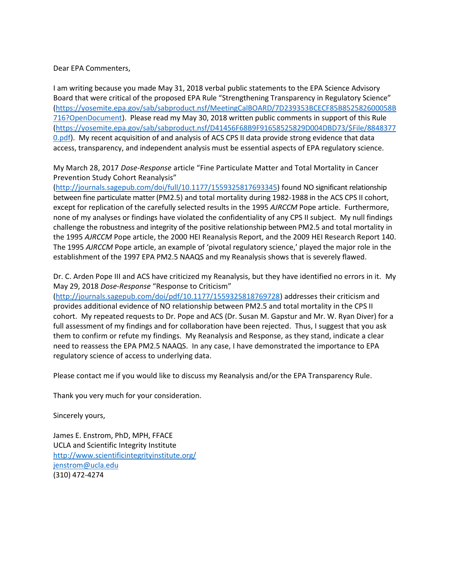## Dear EPA Commenters,

I am writing because you made May 31, 2018 verbal public statements to the EPA Science Advisory Board that were critical of the proposed EPA Rule "Strengthening Transparency in Regulatory Science" [\(https://yosemite.epa.gov/sab/sabproduct.nsf/MeetingCalBOARD/7D239353BCECF85B852582600058B](https://yosemite.epa.gov/sab/sabproduct.nsf/MeetingCalBOARD/7D239353BCECF85B852582600058B716?OpenDocument) [716?OpenDocument\)](https://yosemite.epa.gov/sab/sabproduct.nsf/MeetingCalBOARD/7D239353BCECF85B852582600058B716?OpenDocument). Please read my May 30, 2018 written public comments in support of this Rule [\(https://yosemite.epa.gov/sab/sabproduct.nsf/D41456F68B9F91658525829D004DBD73/\\$File/8848377](https://yosemite.epa.gov/sab/sabproduct.nsf/D41456F68B9F91658525829D004DBD73/$File/88483770.pdf) [0.pdf\)](https://yosemite.epa.gov/sab/sabproduct.nsf/D41456F68B9F91658525829D004DBD73/$File/88483770.pdf). My recent acquisition of and analysis of ACS CPS II data provide strong evidence that data access, transparency, and independent analysis must be essential aspects of EPA regulatory science.

My March 28, 2017 *Dose-Response* article "Fine Particulate Matter and Total Mortality in Cancer Prevention Study Cohort Reanalysis"

[\(http://journals.sagepub.com/doi/full/10.1177/1559325817693345\)](http://journals.sagepub.com/doi/full/10.1177/1559325817693345) found NO significant relationship between fine particulate matter (PM2.5) and total mortality during 1982-1988 in the ACS CPS II cohort, except for replication of the carefully selected results in the 1995 *AJRCCM* Pope article. Furthermore, none of my analyses or findings have violated the confidentiality of any CPS II subject. My null findings challenge the robustness and integrity of the positive relationship between PM2.5 and total mortality in the 1995 *AJRCCM* Pope article, the 2000 HEI Reanalysis Report, and the 2009 HEI Research Report 140. The 1995 *AJRCCM* Pope article, an example of 'pivotal regulatory science,' played the major role in the establishment of the 1997 EPA PM2.5 NAAQS and my Reanalysis shows that is severely flawed.

Dr. C. Arden Pope III and ACS have criticized my Reanalysis, but they have identified no errors in it. My May 29, 2018 *Dose-Response* "Response to Criticism"

[\(http://journals.sagepub.com/doi/pdf/10.1177/1559325818769728\)](http://journals.sagepub.com/doi/pdf/10.1177/1559325818769728) addresses their criticism and provides additional evidence of NO relationship between PM2.5 and total mortality in the CPS II cohort. My repeated requests to Dr. Pope and ACS (Dr. Susan M. Gapstur and Mr. W. Ryan Diver) for a full assessment of my findings and for collaboration have been rejected. Thus, I suggest that you ask them to confirm or refute my findings. My Reanalysis and Response, as they stand, indicate a clear need to reassess the EPA PM2.5 NAAQS. In any case, I have demonstrated the importance to EPA regulatory science of access to underlying data.

Please contact me if you would like to discuss my Reanalysis and/or the EPA Transparency Rule.

Thank you very much for your consideration.

Sincerely yours,

James E. Enstrom, PhD, MPH, FFACE UCLA and Scientific Integrity Institute <http://www.scientificintegrityinstitute.org/> [jenstrom@ucla.edu](mailto:jenstrom@ucla.edu) (310) 472-4274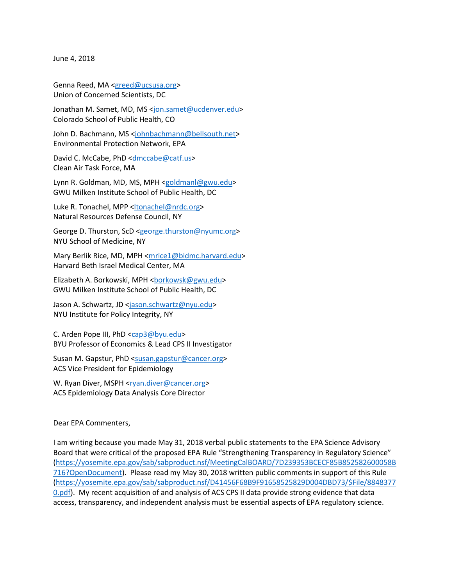June 4, 2018

Genna Reed, MA [<greed@ucsusa.org>](mailto:greed@ucsusa.org) Union of Concerned Scientists, DC

Jonathan M. Samet, MD, MS [<jon.samet@ucdenver.edu>](mailto:jon.samet@ucdenver.edu) Colorado School of Public Health, CO

John D. Bachmann, MS [<johnbachmann@bellsouth.net>](mailto:johnbachmann@bellsouth.net) Environmental Protection Network, EPA

David C. McCabe, PhD [<dmccabe@catf.us>](mailto:dmccabe@catf.us) Clean Air Task Force, MA

Lynn R. Goldman, MD, MS, MPH [<goldmanl@gwu.edu>](mailto:goldmanl@gwu.edu) GWU Milken Institute School of Public Health, DC

Luke R. Tonachel, MPP <<<a>Itonachel@nrdc.org> Natural Resources Defense Council, NY

George D. Thurston, ScD [<george.thurston@nyumc.org>](mailto:george.thurston@nyumc.org) NYU School of Medicine, NY

Mary Berlik Rice, MD, MPH [<mrice1@bidmc.harvard.edu>](mailto:mrice1@bidmc.harvard.edu) Harvard Beth Israel Medical Center, MA

Elizabeth A. Borkowski, MPH <br/>borkowsk@gwu.edu> GWU Milken Institute School of Public Health, DC

Jason A. Schwartz, JD [<jason.schwartz@nyu.edu>](mailto:jason.schwartz@nyu.edu) NYU Institute for Policy Integrity, NY

C. Arden Pope III, PhD [<cap3@byu.edu>](mailto:cap3@byu.edu) BYU Professor of Economics & Lead CPS II Investigator

Susan M. Gapstur, PhD [<susan.gapstur@cancer.org>](mailto:susan.gapstur@cancer.org) ACS Vice President for Epidemiology

W. Ryan Diver, MSPH <rxan.diver@cancer.org> ACS Epidemiology Data Analysis Core Director

Dear EPA Commenters,

I am writing because you made May 31, 2018 verbal public statements to the EPA Science Advisory Board that were critical of the proposed EPA Rule "Strengthening Transparency in Regulatory Science" [\(https://yosemite.epa.gov/sab/sabproduct.nsf/MeetingCalBOARD/7D239353BCECF85B852582600058B](https://yosemite.epa.gov/sab/sabproduct.nsf/MeetingCalBOARD/7D239353BCECF85B852582600058B716?OpenDocument) [716?OpenDocument\)](https://yosemite.epa.gov/sab/sabproduct.nsf/MeetingCalBOARD/7D239353BCECF85B852582600058B716?OpenDocument). Please read my May 30, 2018 written public comments in support of this Rule [\(https://yosemite.epa.gov/sab/sabproduct.nsf/D41456F68B9F91658525829D004DBD73/\\$File/8848377](https://yosemite.epa.gov/sab/sabproduct.nsf/D41456F68B9F91658525829D004DBD73/$File/88483770.pdf) [0.pdf\)](https://yosemite.epa.gov/sab/sabproduct.nsf/D41456F68B9F91658525829D004DBD73/$File/88483770.pdf). My recent acquisition of and analysis of ACS CPS II data provide strong evidence that data access, transparency, and independent analysis must be essential aspects of EPA regulatory science.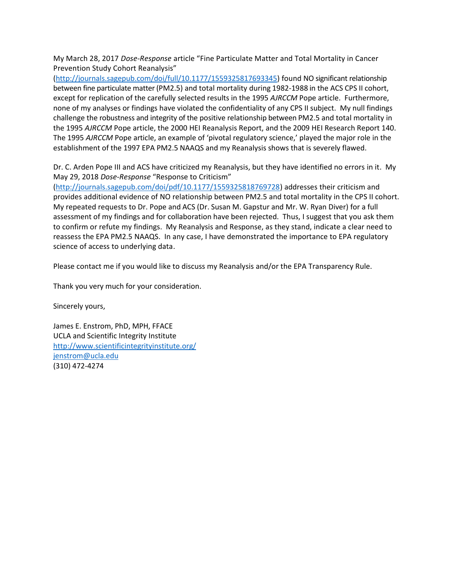My March 28, 2017 *Dose-Response* article "Fine Particulate Matter and Total Mortality in Cancer Prevention Study Cohort Reanalysis"

[\(http://journals.sagepub.com/doi/full/10.1177/1559325817693345\)](http://journals.sagepub.com/doi/full/10.1177/1559325817693345) found NO significant relationship between fine particulate matter (PM2.5) and total mortality during 1982-1988 in the ACS CPS II cohort, except for replication of the carefully selected results in the 1995 *AJRCCM* Pope article. Furthermore, none of my analyses or findings have violated the confidentiality of any CPS II subject. My null findings challenge the robustness and integrity of the positive relationship between PM2.5 and total mortality in the 1995 *AJRCCM* Pope article, the 2000 HEI Reanalysis Report, and the 2009 HEI Research Report 140. The 1995 *AJRCCM* Pope article, an example of 'pivotal regulatory science,' played the major role in the establishment of the 1997 EPA PM2.5 NAAQS and my Reanalysis shows that is severely flawed.

Dr. C. Arden Pope III and ACS have criticized my Reanalysis, but they have identified no errors in it. My May 29, 2018 *Dose-Response* "Response to Criticism"

[\(http://journals.sagepub.com/doi/pdf/10.1177/1559325818769728\)](http://journals.sagepub.com/doi/pdf/10.1177/1559325818769728) addresses their criticism and provides additional evidence of NO relationship between PM2.5 and total mortality in the CPS II cohort. My repeated requests to Dr. Pope and ACS (Dr. Susan M. Gapstur and Mr. W. Ryan Diver) for a full assessment of my findings and for collaboration have been rejected. Thus, I suggest that you ask them to confirm or refute my findings. My Reanalysis and Response, as they stand, indicate a clear need to reassess the EPA PM2.5 NAAQS. In any case, I have demonstrated the importance to EPA regulatory science of access to underlying data.

Please contact me if you would like to discuss my Reanalysis and/or the EPA Transparency Rule.

Thank you very much for your consideration.

Sincerely yours,

James E. Enstrom, PhD, MPH, FFACE UCLA and Scientific Integrity Institute <http://www.scientificintegrityinstitute.org/> [jenstrom@ucla.edu](mailto:jenstrom@ucla.edu) (310) 472-4274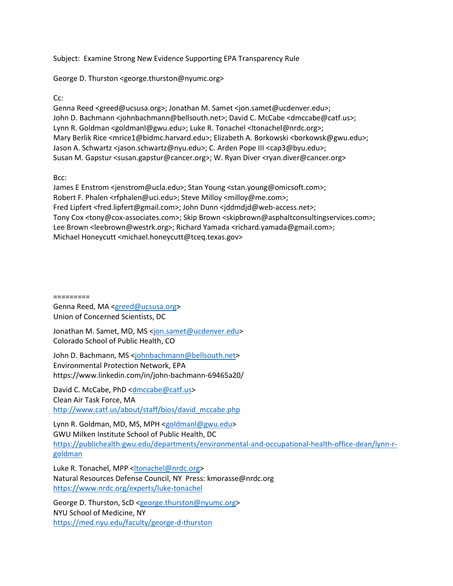## Subject: Examine Strong New Evidence Supporting EPA Transparency Rule

George D. Thurston <george.thurston@nyumc.org>

Cc:

Genna Reed <greed@ucsusa.org>; Jonathan M. Samet <jon.samet@ucdenver.edu>; John D. Bachmann <johnbachmann@bellsouth.net>; David C. McCabe <dmccabe@catf.us>; Lynn R. Goldman <goldmanl@gwu.edu>; Luke R. Tonachel <ltonachel@nrdc.org>; Mary Berlik Rice <mrice1@bidmc.harvard.edu>; Elizabeth A. Borkowski <br/> <br/>borkowsk@gwu.edu>; Jason A. Schwartz <jason.schwartz@nyu.edu>; C. Arden Pope III <cap3@byu.edu>; Susan M. Gapstur <susan.gapstur@cancer.org>; W. Ryan Diver <ryan.diver@cancer.org>

Bcc:

James E Enstrom <jenstrom@ucla.edu>; Stan Young <stan.young@omicsoft.com>; Robert F. Phalen <rfphalen@uci.edu>; Steve Milloy <milloy@me.com>; Fred Lipfert <fred.lipfert@gmail.com>; John Dunn <jddmdjd@web-access.net>; Tony Cox <tony@cox-associates.com>; Skip Brown <skipbrown@asphaltconsultingservices.com>; Lee Brown <leebrown@westrk.org>; Richard Yamada <richard.yamada@gmail.com>; Michael Honeycutt <michael.honeycutt@tceq.texas.gov>

=========

Genna Reed, MA [<greed@ucsusa.org>](mailto:greed@ucsusa.org) Union of Concerned Scientists, DC

Jonathan M. Samet, MD, MS [<jon.samet@ucdenver.edu>](mailto:jon.samet@ucdenver.edu) Colorado School of Public Health, CO

John D. Bachmann, MS [<johnbachmann@bellsouth.net>](mailto:johnbachmann@bellsouth.net) Environmental Protection Network, EPA https://www.linkedin.com/in/john-bachmann-69465a20/

David C. McCabe, PhD [<dmccabe@catf.us>](mailto:dmccabe@catf.us) Clean Air Task Force, MA [http://www.catf.us/about/staff/bios/david\\_mccabe.php](http://www.catf.us/about/staff/bios/david_mccabe.php) 

Lynn R. Goldman, MD, MS, MPH [<goldmanl@gwu.edu>](mailto:goldmanl@gwu.edu) GWU Milken Institute School of Public Health, DC [https://publichealth.gwu.edu/departments/environmental-and-occupational-health-office-dean/lynn-r](https://publichealth.gwu.edu/departments/environmental-and-occupational-health-office-dean/lynn-r-goldman)[goldman](https://publichealth.gwu.edu/departments/environmental-and-occupational-health-office-dean/lynn-r-goldman) 

Luke R. Tonachel, MPP [<ltonachel@nrdc.org>](mailto:ltonachel@nrdc.org) Natural Resources Defense Council, NY Press: kmorasse@nrdc.org <https://www.nrdc.org/experts/luke-tonachel>

George D. Thurston, ScD [<george.thurston@nyumc.org>](mailto:george.thurston@nyumc.org) NYU School of Medicine, NY <https://med.nyu.edu/faculty/george-d-thurston>